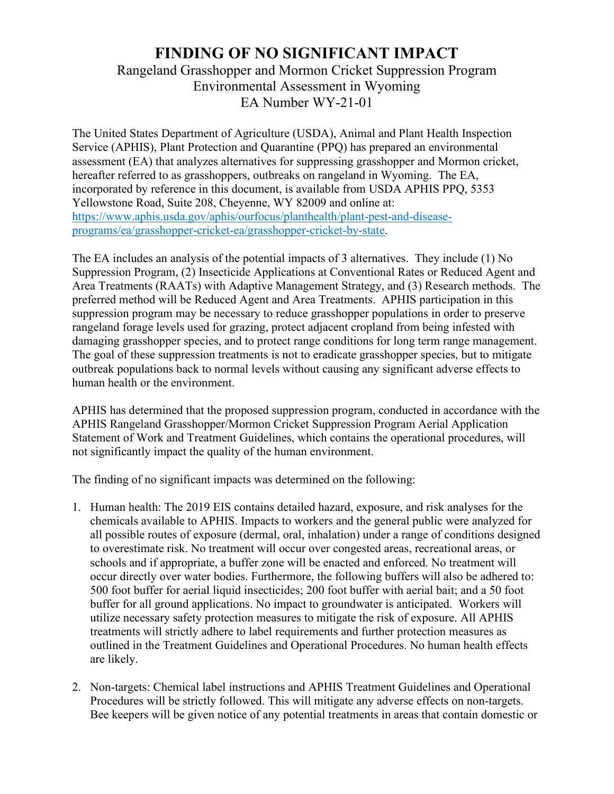## **FINDING OF NO SIGNIFICANT IMPACT**

Rangeland Grasshopper and Mormon Cricket Suppression Program Environmental Assessment in Wyoming EA Number WY-21-01

The United States Department of Agriculture (USDA), Animal and Plant Health Inspection Service (APHIS), Plant Protection and Quarantine (PPQ) has prepared an environmental assessment (EA) that analyzes alternatives for suppressing grasshopper and Mormon cricket, hereafter referred to as grasshoppers, outbreaks on rangeland in Wyoming. The EA, incorporated by reference in this document, is available from USDA APHIS PPQ, 5353 Yellowstone Road, Suite 208, Cheyenne, WY 82009 and online at: https://www.aphis.usda.gov/aphis/ourfocus/planthealth/plant-pest-and-diseaseprograms/ea/grasshopper-cricket-ea/grasshopper-cricket-by-state.

The EA includes an analysis of the potential impacts of 3 alternatives. They include (1) No Suppression Program, (2) Insecticide Applications at Conventional Rates or Reduced Agent and Area Treatments (RAATs) with Adaptive Management Strategy, and (3) Research methods. The preferred method will be Reduced Agent and Area Treatments. APHIS participation in this suppression program may be necessary to reduce grasshopper populations in order to preserve rangeland forage levels used for grazing, protect adjacent cropland from being infested with damaging grasshopper species, and to protect range conditions for long term range management. The goal of these suppression treatments is not to eradicate grasshopper species, but to mitigate outbreak populations back to normal levels without causing any significant adverse effects to human health or the environment.

APHIS has determined that the proposed suppression program, conducted in accordance with the APHIS Rangeland Grasshopper/Mormon Cricket Suppression Program Aerial Application Statement of Work and Treatment Guidelines, which contains the operational procedures, will not significantly impact the quality of the human environment.

The finding of no significant impacts was determined on the following:

- 1. Human health: The 2019 EIS contains detailed hazard, exposure, and risk analyses for the chemicals available to APHIS. Impacts to workers and the general public were analyzed for all possible routes of exposure (dermal, oral, inhalation) under a range of conditions designed to overestimate risk. No treatment will occur over congested areas, recreational areas, or schools and if appropriate, a buffer zone will be enacted and enforced. No treatment will occur directly over water bodies. Furthermore, the following buffers will also be adhered to: 500 foot buffer for aerial liquid insecticides; 200 foot buffer with aerial bait; and a 50 foot buffer for all ground applications. No impact to groundwater is anticipated. Workers will utilize necessary safety protection measures to mitigate the risk of exposure. All APHIS treatments will strictly adhere to label requirements and further protection measures as outlined in the Treatment Guidelines and Operational Procedures. No human health effects are likely.
- 2. Non-targets: Chemical label instructions and APHIS Treatment Guidelines and Operational Procedures will be strictly followed. This will mitigate any adverse effects on non-targets. Bee keepers will be given notice of any potential treatments in areas that contain domestic or